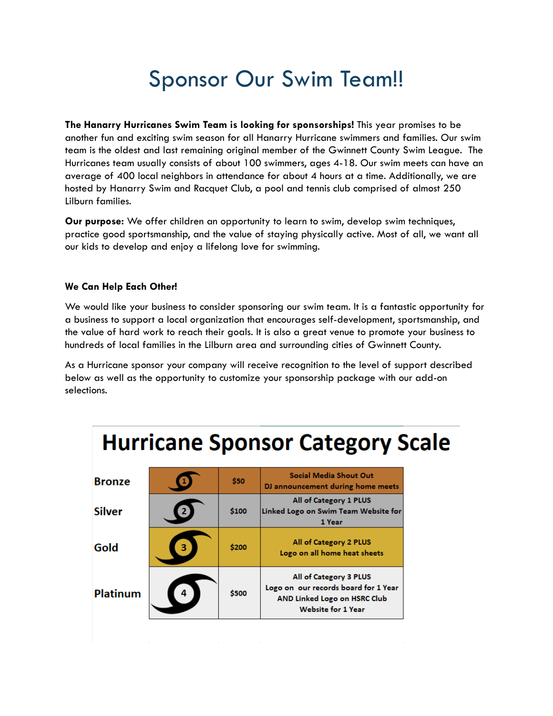## Sponsor Our Swim Team!!

**The Hanarry Hurricanes Swim Team is looking for sponsorships!** This year promises to be another fun and exciting swim season for all Hanarry Hurricane swimmers and families. Our swim team is the oldest and last remaining original member of the Gwinnett County Swim League. The Hurricanes team usually consists of about 100 swimmers, ages 4-18. Our swim meets can have an average of 400 local neighbors in attendance for about 4 hours at a time. Additionally, we are hosted by Hanarry Swim and Racquet Club, a pool and tennis club comprised of almost 250 Lilburn families.

**Our purpose:** We offer children an opportunity to learn to swim, develop swim techniques, practice good sportsmanship, and the value of staying physically active. Most of all, we want all our kids to develop and enjoy a lifelong love for swimming.

### **We Can Help Each Other!**

We would like your business to consider sponsoring our swim team. It is a fantastic opportunity for a business to support a local organization that encourages self-development, sportsmanship, and the value of hard work to reach their goals. It is also a great venue to promote your business to hundreds of local families in the Lilburn area and surrounding cities of Gwinnett County.

As a Hurricane sponsor your company will receive recognition to the level of support described below as well as the opportunity to customize your sponsorship package with our add-on selections.

| <b>Hurricane Sponsor Category Scale</b> |    |       |                                                                                                                             |
|-----------------------------------------|----|-------|-----------------------------------------------------------------------------------------------------------------------------|
| <b>Bronze</b>                           |    | \$50  | <b>Social Media Shout Out</b><br>DJ announcement during home meets                                                          |
| <b>Silver</b>                           |    | \$100 | All of Category 1 PLUS<br>Linked Logo on Swim Team Website for<br>1 Year                                                    |
| Gold                                    | з. | \$200 | All of Category 2 PLUS<br>Logo on all home heat sheets                                                                      |
| <b>Platinum</b>                         |    | \$500 | All of Category 3 PLUS<br>Logo on our records board for 1 Year<br>AND Linked Logo on HSRC Club<br><b>Website for 1 Year</b> |